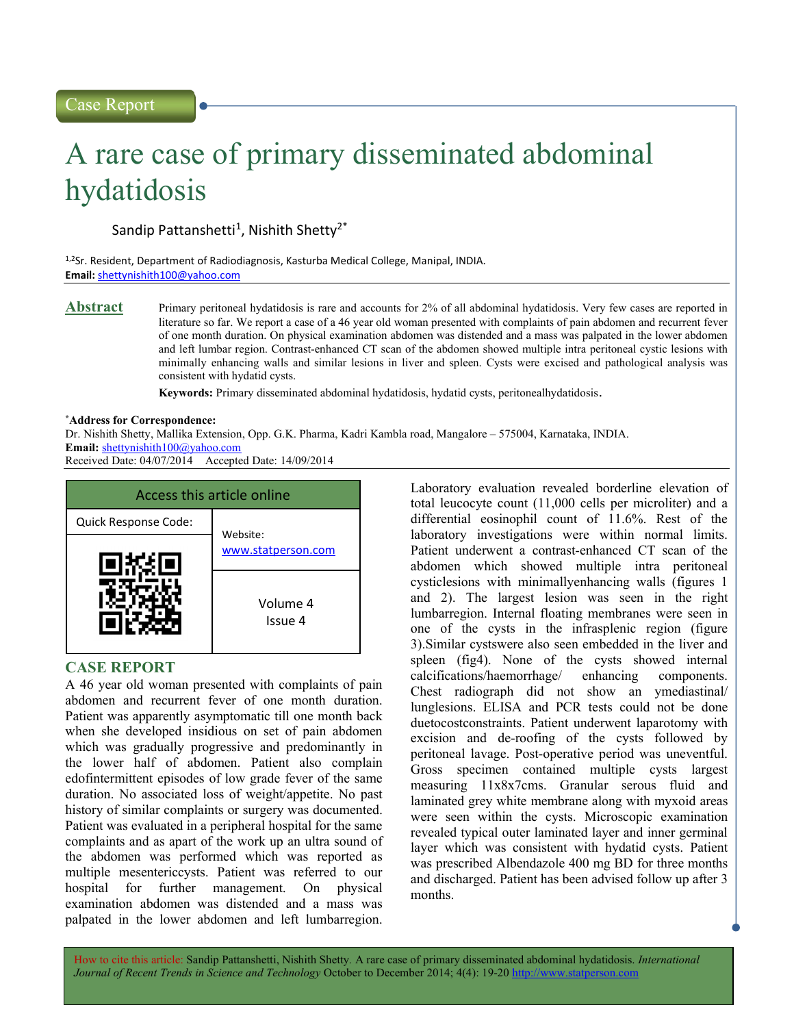# A rare case of primary disseminated abdominal hydatidosis

Sandip Pattanshetti<sup>1</sup>, Nishith Shetty<sup>2\*</sup>

1,2Sr. Resident, Department of Radiodiagnosis, Kasturba Medical College, Manipal, INDIA. Email: shettynishith100@yahoo.com

Abstract Primary peritoneal hydatidosis is rare and accounts for 2% of all abdominal hydatidosis. Very few cases are reported in literature so far. We report a case of a 46 year old woman presented with complaints of pain abdomen and recurrent fever of one month duration. On physical examination abdomen was distended and a mass was palpated in the lower abdomen and left lumbar region. Contrast-enhanced CT scan of the abdomen showed multiple intra peritoneal cystic lesions with minimally enhancing walls and similar lesions in liver and spleen. Cysts were excised and pathological analysis was consistent with hydatid cysts.

Keywords: Primary disseminated abdominal hydatidosis, hydatid cysts, peritonealhydatidosis.

### \*Address for Correspondence:

Dr. Nishith Shetty, Mallika Extension, Opp. G.K. Pharma, Kadri Kambla road, Mangalore – 575004, Karnataka, INDIA. Email: shettynishith100@yahoo.com

Received Date: 04/07/2014 Accepted Date: 14/09/2014



# CASE REPORT

A 46 year old woman presented with complaints of pain abdomen and recurrent fever of one month duration. Patient was apparently asymptomatic till one month back when she developed insidious on set of pain abdomen which was gradually progressive and predominantly in the lower half of abdomen. Patient also complain edofintermittent episodes of low grade fever of the same duration. No associated loss of weight/appetite. No past history of similar complaints or surgery was documented. Patient was evaluated in a peripheral hospital for the same complaints and as apart of the work up an ultra sound of the abdomen was performed which was reported as multiple mesentericcysts. Patient was referred to our hospital for further management. On physical examination abdomen was distended and a mass was palpated in the lower abdomen and left lumbarregion.

Laboratory evaluation revealed borderline elevation of total leucocyte count (11,000 cells per microliter) and a differential eosinophil count of 11.6%. Rest of the laboratory investigations were within normal limits. Patient underwent a contrast-enhanced CT scan of the abdomen which showed multiple intra peritoneal cysticlesions with minimallyenhancing walls (figures 1 and 2). The largest lesion was seen in the right lumbarregion. Internal floating membranes were seen in one of the cysts in the infrasplenic region (figure 3).Similar cystswere also seen embedded in the liver and spleen (fig4). None of the cysts showed internal calcifications/haemorrhage/ enhancing components. Chest radiograph did not show an ymediastinal/ lunglesions. ELISA and PCR tests could not be done duetocostconstraints. Patient underwent laparotomy with excision and de-roofing of the cysts followed by peritoneal lavage. Post-operative period was uneventful. Gross specimen contained multiple cysts largest measuring 11x8x7cms. Granular serous fluid and laminated grey white membrane along with myxoid areas were seen within the cysts. Microscopic examination revealed typical outer laminated layer and inner germinal layer which was consistent with hydatid cysts. Patient was prescribed Albendazole 400 mg BD for three months and discharged. Patient has been advised follow up after 3 months.